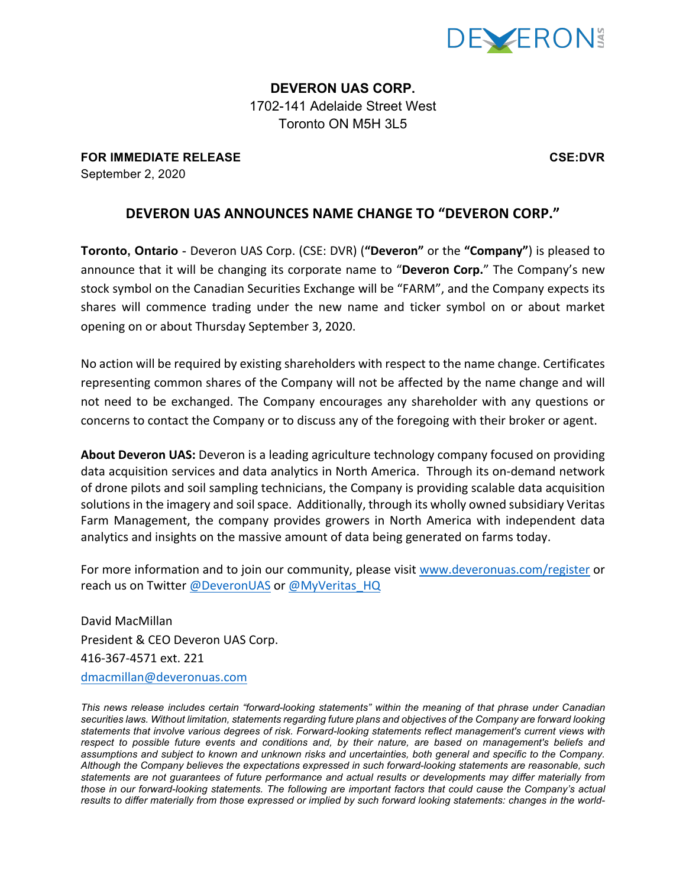

**DEVERON UAS CORP.** 1702-141 Adelaide Street West Toronto ON M5H 3L5

**FOR IMMEDIATE RELEASE CSE:DVR** September 2, 2020

## **DEVERON UAS ANNOUNCES NAME CHANGE TO "DEVERON CORP."**

**Toronto, Ontario** - Deveron UAS Corp. (CSE: DVR) ("Deveron" or the "Company") is pleased to announce that it will be changing its corporate name to "Deveron Corp." The Company's new stock symbol on the Canadian Securities Exchange will be "FARM", and the Company expects its shares will commence trading under the new name and ticker symbol on or about market opening on or about Thursday September 3, 2020.

No action will be required by existing shareholders with respect to the name change. Certificates representing common shares of the Company will not be affected by the name change and will not need to be exchanged. The Company encourages any shareholder with any questions or concerns to contact the Company or to discuss any of the foregoing with their broker or agent.

About Deveron UAS: Deveron is a leading agriculture technology company focused on providing data acquisition services and data analytics in North America. Through its on-demand network of drone pilots and soil sampling technicians, the Company is providing scalable data acquisition solutions in the imagery and soil space. Additionally, through its wholly owned subsidiary Veritas Farm Management, the company provides growers in North America with independent data analytics and insights on the massive amount of data being generated on farms today.

For more information and to join our community, please visit www.deveronuas.com/register or reach us on Twitter @DeveronUAS or @MyVeritas HQ

David MacMillan President & CEO Deveron UAS Corp. 416-367-4571 ext. 221 dmacmillan@deveronuas.com

*This news release includes certain "forward-looking statements" within the meaning of that phrase under Canadian securities laws. Without limitation, statements regarding future plans and objectives of the Company are forward looking statements that involve various degrees of risk. Forward-looking statements reflect management's current views with respect to possible future events and conditions and, by their nature, are based on management's beliefs and assumptions and subject to known and unknown risks and uncertainties, both general and specific to the Company. Although the Company believes the expectations expressed in such forward-looking statements are reasonable, such statements are not guarantees of future performance and actual results or developments may differ materially from those in our forward-looking statements. The following are important factors that could cause the Company's actual*  results to differ materially from those expressed or implied by such forward looking statements: changes in the world-